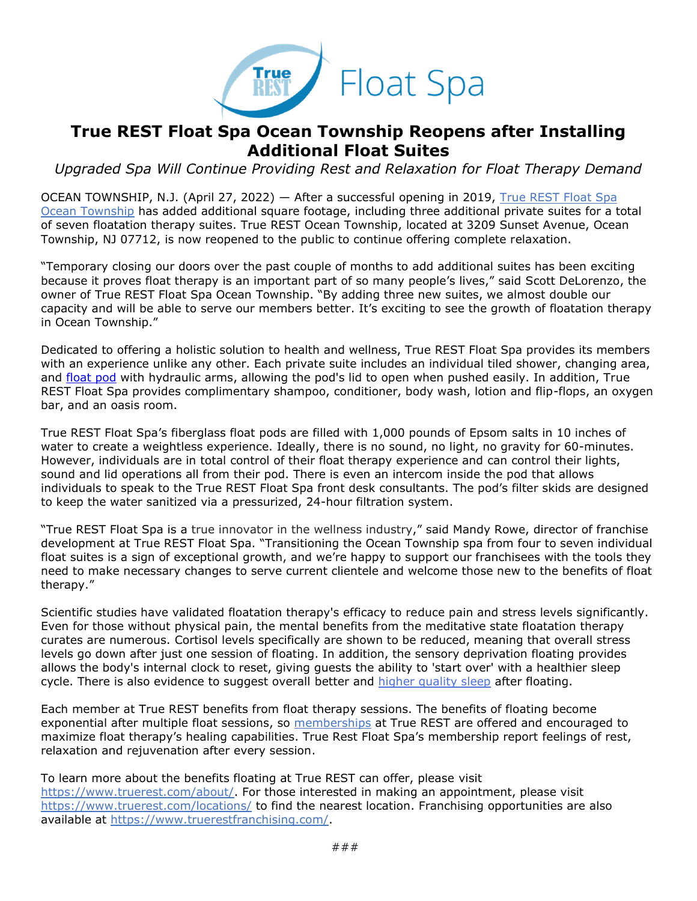

## **True REST Float Spa Ocean Township Reopens after Installing Additional Float Suites**

*Upgraded Spa Will Continue Providing Rest and Relaxation for Float Therapy Demand*

OCEAN TOWNSHIP, N.J. (April 27, 2022) — After a successful opening in 2019, True REST Float Spa [Ocean Township](https://truerest.com/locations/ocean-township/?utm_source=true+rest+press+release&utm_medium=accesswire.com&utm_campaign=true+rest+2022+ocean+township+reopen&utm_content=true+rest+hyperlink+3) has added additional square footage, including three additional private suites for a total of seven floatation therapy suites. True REST Ocean Township, located at 3209 Sunset Avenue, Ocean Township, NJ 07712, is now reopened to the public to continue offering complete relaxation.

"Temporary closing our doors over the past couple of months to add additional suites has been exciting because it proves float therapy is an important part of so many people's lives," said Scott DeLorenzo, the owner of True REST Float Spa Ocean Township. "By adding three new suites, we almost double our capacity and will be able to serve our members better. It's exciting to see the growth of floatation therapy in Ocean Township."

Dedicated to offering a holistic solution to health and wellness, True REST Float Spa provides its members with an experience unlike any other. Each private suite includes an individual tiled shower, changing area, and [float pod](https://truerest.com/how-float-therapy-pods-provide-a-solution-for-sleep/?utm_source=true+rest+press+release&utm_medium=accesswire.com&utm_campaign=true+rest+2022+ocean+township+reopen&utm_content=true+rest+hyperlink+2) with hydraulic arms, allowing the pod's lid to open when pushed easily. In addition, True REST Float Spa provides complimentary shampoo, conditioner, body wash, lotion and flip-flops, an oxygen bar, and an oasis room.

True REST Float Spa's fiberglass float pods are filled with 1,000 pounds of Epsom salts in 10 inches of water to create a weightless experience. Ideally, there is no sound, no light, no gravity for 60-minutes. However, individuals are in total control of their float therapy experience and can control their lights, sound and lid operations all from their pod. There is even an intercom inside the pod that allows individuals to speak to the True REST Float Spa front desk consultants. The pod's filter skids are designed to keep the water sanitized via a pressurized, 24-hour filtration system.

"True REST Float Spa is a true innovator in the wellness industry," said Mandy Rowe, director of franchise development at True REST Float Spa. "Transitioning the Ocean Township spa from four to seven individual float suites is a sign of exceptional growth, and we're happy to support our franchisees with the tools they need to make necessary changes to serve current clientele and welcome those new to the benefits of float therapy."

Scientific studies have validated floatation therapy's efficacy to reduce pain and stress levels significantly. Even for those without physical pain, the mental benefits from the meditative state floatation therapy curates are numerous. Cortisol levels specifically are shown to be reduced, meaning that overall stress levels go down after just one session of floating. In addition, the sensory deprivation floating provides allows the body's internal clock to reset, giving guests the ability to 'start over' with a healthier sleep cycle. There is also evidence to suggest overall better and [higher quality sleep](https://open.library.ubc.ca/soa/cIRcle/collections/ubctheses/831/items/1.0098140?utm_source=Press+release&utm_medium=Press+release&utm_id=True+Rest+OT) after floating.

Each member at True REST benefits from float therapy sessions. The benefits of floating become exponential after multiple float sessions, so [memberships](https://www.truerest.com/get-started/float-pricing/?utm_source=Press+release&utm_medium=Press+rel) at True REST are offered and encouraged to maximize float therapy's healing capabilities. True Rest Float Spa's membership report feelings of rest, relaxation and rejuvenation after every session.

To learn more about the benefits floating at True REST can offer, please visit [https://www.truerest.com/about/.](https://truerest.com/about-us/?utm_source=true+rest+press+release&utm_medium=accesswire.com&utm_campaign=true+rest+2022+ocean+township+reopen&utm_content=true+rest+hyperlink+4) For those interested in making an appointment, please visit [https://www.truerest.com/locations/](https://www.truerest.com/locations/?utm_source=true+rest+press+release&utm_medium=accesswire.com&utm_campaign=true+rest+2022+ocean+township+reopen&utm_content=true+rest+hyperlink+5) to find the nearest location. Franchising opportunities are also available at [https://www.truerestfranchising.com/.](https://www.truerestfranchising.com/true-rest-vision/?utm_source=true+rest+press+release&utm_medium=accesswire.com&utm_campaign=true+rest+2022+ocean+township+reopen&utm_content=true+rest+boilerplate+1)